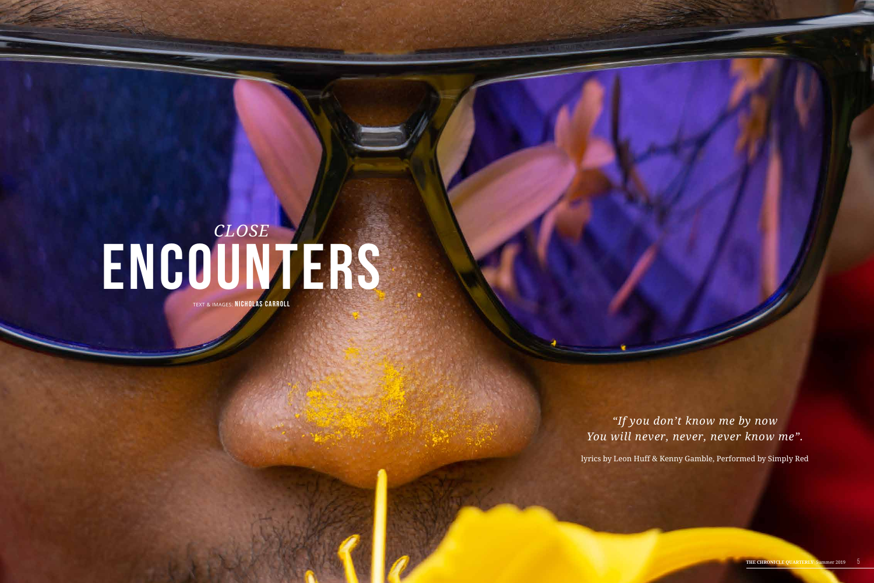## *Close*  **Encounters**

TEXT & IMAGES: **NICHOLAS CARROLL**

*"If you don't know me by now You will never, never, never know me".*

lyrics by Leon Huff & Kenny Gamble, Performed by Simply Red